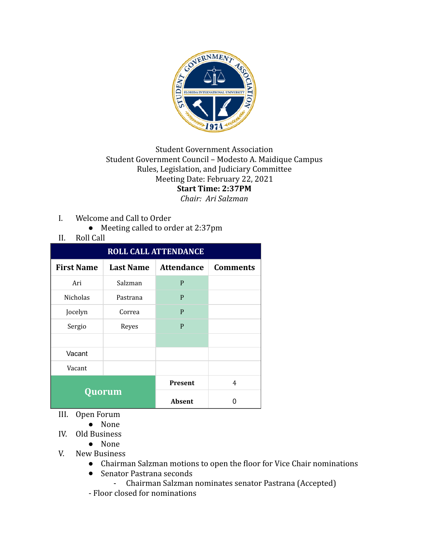

## **Student Government Association** Student Government Council - Modesto A. Maidique Campus Rules, Legislation, and Judiciary Committee Meeting Date: February 22, 2021 **Start Time: 2:37PM** *Chair: Ari Salzman*

- I. Welcome and Call to Order
	- Meeting called to order at 2:37pm
- II. Roll Call

| <b>ROLL CALL ATTENDANCE</b> |                  |                   |                 |  |  |
|-----------------------------|------------------|-------------------|-----------------|--|--|
| <b>First Name</b>           | <b>Last Name</b> | <b>Attendance</b> | <b>Comments</b> |  |  |
| Ari                         | Salzman          | P                 |                 |  |  |
| Nicholas                    | Pastrana         | P                 |                 |  |  |
| Jocelyn                     | Correa           | P                 |                 |  |  |
| Sergio                      | Reyes            | P                 |                 |  |  |
|                             |                  |                   |                 |  |  |
| Vacant                      |                  |                   |                 |  |  |
| Vacant                      |                  |                   |                 |  |  |
| Quorum                      |                  | <b>Present</b>    | 4               |  |  |
|                             |                  | Absent            |                 |  |  |

- III. Open Forum
	- None
- IV. Old Business
	- None
- V. New Business
	- Chairman Salzman motions to open the floor for Vice Chair nominations
	- Senator Pastrana seconds
	- Chairman Salzman nominates senator Pastrana (Accepted)
	- Floor closed for nominations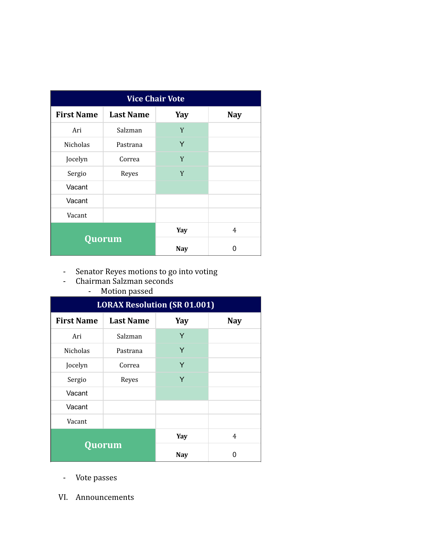| <b>Vice Chair Vote</b> |                  |            |            |  |  |
|------------------------|------------------|------------|------------|--|--|
| <b>First Name</b>      | <b>Last Name</b> | Yay        | <b>Nay</b> |  |  |
| Ari                    | Salzman          | Y          |            |  |  |
| <b>Nicholas</b>        | Pastrana         | Y          |            |  |  |
| Jocelyn                | Correa           | Y          |            |  |  |
| Sergio                 | Reyes            | Y          |            |  |  |
| Vacant                 |                  |            |            |  |  |
| Vacant                 |                  |            |            |  |  |
| Vacant                 |                  |            |            |  |  |
| Quorum                 |                  | Yay        | 4          |  |  |
|                        |                  | <b>Nay</b> | 0          |  |  |

- Senator Reyes motions to go into voting
- Chairman Salzman seconds
	- Motion passed

| <b>LORAX Resolution (SR 01.001)</b> |                  |            |            |  |  |
|-------------------------------------|------------------|------------|------------|--|--|
| <b>First Name</b>                   | <b>Last Name</b> | Yay        | <b>Nay</b> |  |  |
| Ari                                 | Salzman          | Y          |            |  |  |
| <b>Nicholas</b>                     | Pastrana         | Y          |            |  |  |
| Jocelyn                             | Correa           | Y          |            |  |  |
| Sergio                              | Reyes            | Y          |            |  |  |
| Vacant                              |                  |            |            |  |  |
| Vacant                              |                  |            |            |  |  |
| Vacant                              |                  |            |            |  |  |
| Quorum                              |                  | Yay        | 4          |  |  |
|                                     |                  | <b>Nay</b> | n          |  |  |

- Vote passes
- VI. Announcements